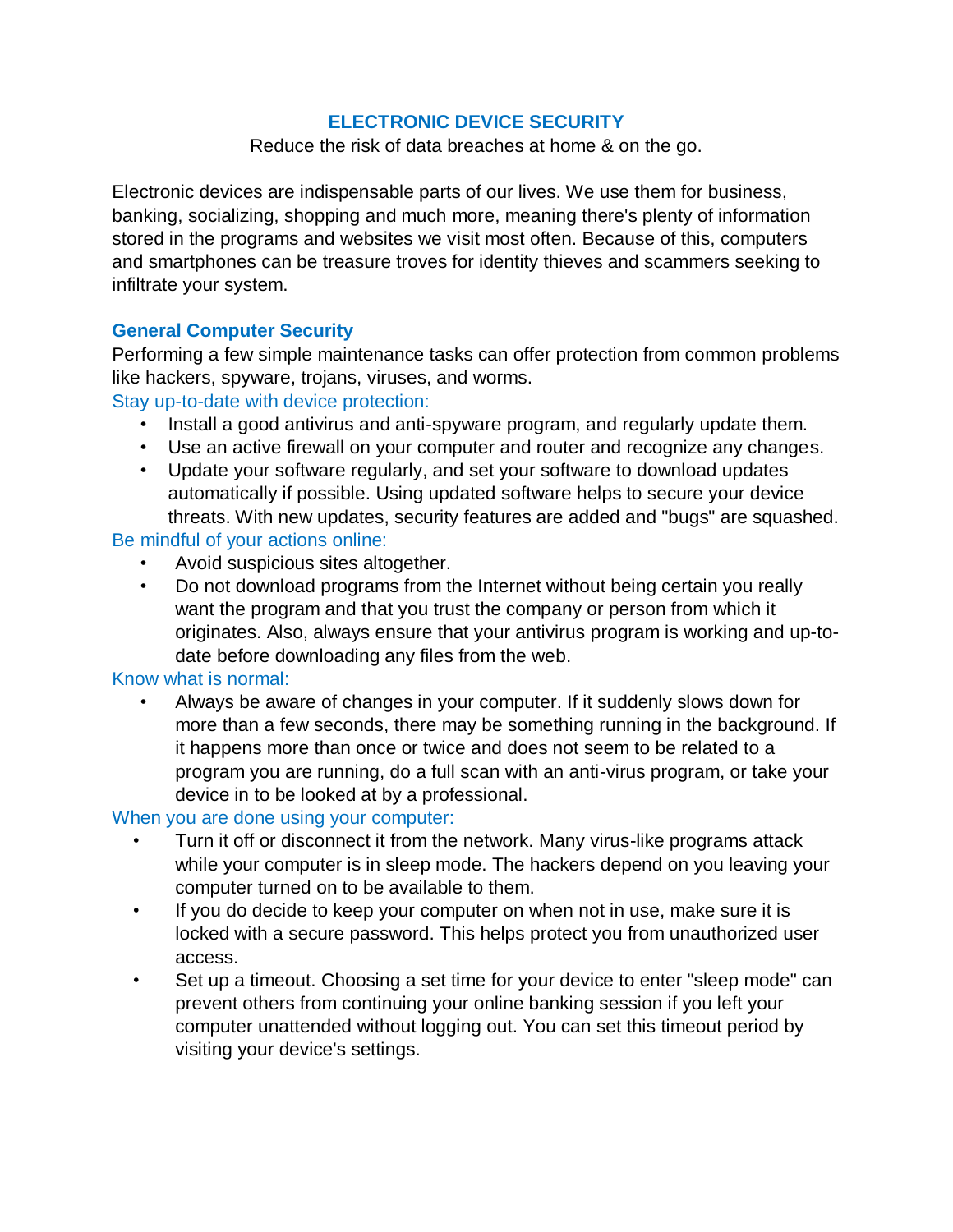# **ELECTRONIC DEVICE SECURITY**

Reduce the risk of data breaches at home & on the go.

Electronic devices are indispensable parts of our lives. We use them for business, banking, socializing, shopping and much more, meaning there's plenty of information stored in the programs and websites we visit most often. Because of this, computers and smartphones can be treasure troves for identity thieves and scammers seeking to infiltrate your system.

## **General Computer Security**

Performing a few simple maintenance tasks can offer protection from common problems like hackers, spyware, trojans, viruses, and worms.

## Stay up-to-date with device protection:

- Install a good antivirus and anti-spyware program, and regularly update them.
- Use an active firewall on your computer and router and recognize any changes.
- Update your software regularly, and set your software to download updates automatically if possible. Using updated software helps to secure your device threats. With new updates, security features are added and "bugs" are squashed.

## Be mindful of your actions online:

- Avoid suspicious sites altogether.
- Do not download programs from the Internet without being certain you really want the program and that you trust the company or person from which it originates. Also, always ensure that your antivirus program is working and up-todate before downloading any files from the web.

## Know what is normal:

• Always be aware of changes in your computer. If it suddenly slows down for more than a few seconds, there may be something running in the background. If it happens more than once or twice and does not seem to be related to a program you are running, do a full scan with an anti-virus program, or take your device in to be looked at by a professional.

# When you are done using your computer:

- Turn it off or disconnect it from the network. Many virus-like programs attack while your computer is in sleep mode. The hackers depend on you leaving your computer turned on to be available to them.
- If you do decide to keep your computer on when not in use, make sure it is locked with a secure password. This helps protect you from unauthorized user access.
- Set up a timeout. Choosing a set time for your device to enter "sleep mode" can prevent others from continuing your online banking session if you left your computer unattended without logging out. You can set this timeout period by visiting your device's settings.